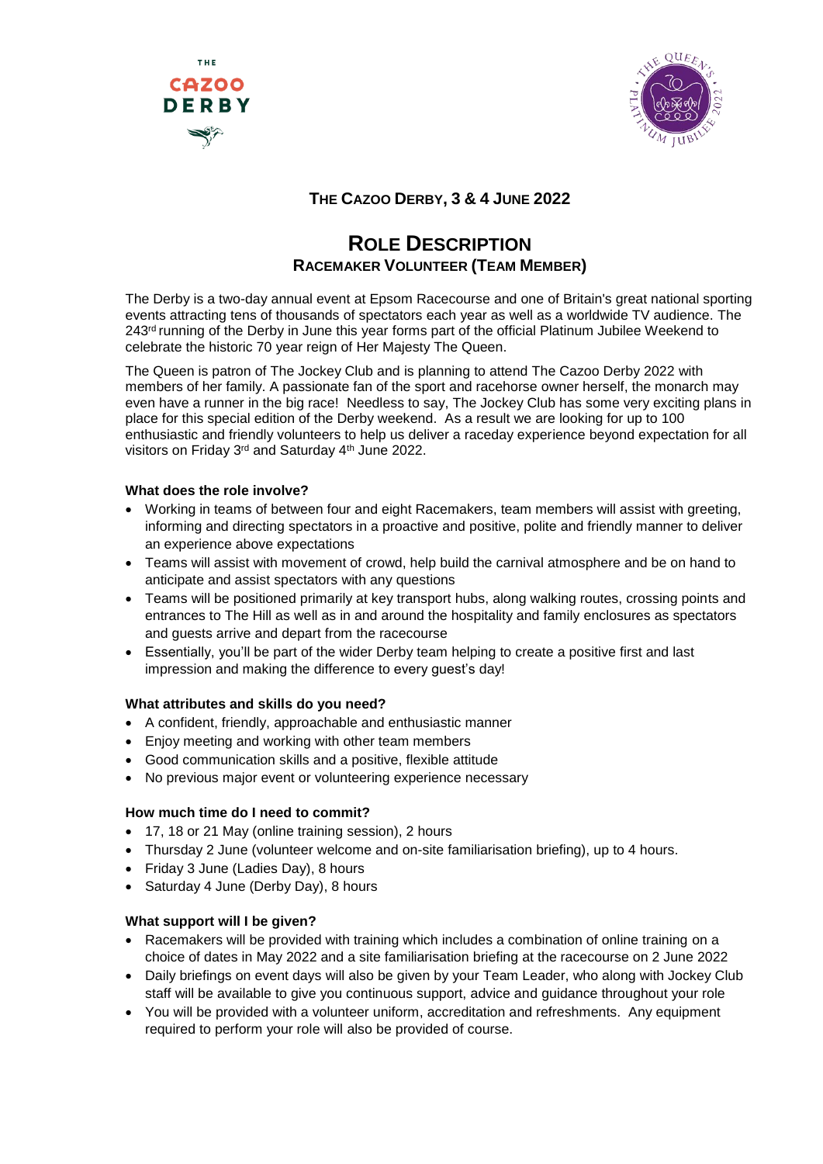



# **THE CAZOO DERBY, 3 & 4 JUNE 2022**

# **ROLE DESCRIPTION RACEMAKER VOLUNTEER (TEAM MEMBER)**

The Derby is a two-day annual event at Epsom Racecourse and one of Britain's great national sporting events attracting tens of thousands of spectators each year as well as a worldwide TV audience. The 243<sup>rd</sup> running of the Derby in June this year forms part of the official Platinum Jubilee Weekend to celebrate the historic 70 year reign of Her Majesty The Queen.

The Queen is patron of The Jockey Club and is planning to attend The Cazoo Derby 2022 with members of her family. A passionate fan of the sport and racehorse owner herself, the monarch may even have a runner in the big race! Needless to say, The Jockey Club has some very exciting plans in place for this special edition of the Derby weekend. As a result we are looking for up to 100 enthusiastic and friendly volunteers to help us deliver a raceday experience beyond expectation for all visitors on Friday 3<sup>rd</sup> and Saturday 4<sup>th</sup> June 2022.

#### **What does the role involve?**

- Working in teams of between four and eight Racemakers, team members will assist with greeting, informing and directing spectators in a proactive and positive, polite and friendly manner to deliver an experience above expectations
- Teams will assist with movement of crowd, help build the carnival atmosphere and be on hand to anticipate and assist spectators with any questions
- Teams will be positioned primarily at key transport hubs, along walking routes, crossing points and entrances to The Hill as well as in and around the hospitality and family enclosures as spectators and guests arrive and depart from the racecourse
- Essentially, you'll be part of the wider Derby team helping to create a positive first and last impression and making the difference to every guest's day!

# **What attributes and skills do you need?**

- A confident, friendly, approachable and enthusiastic manner
- Enjoy meeting and working with other team members
- Good communication skills and a positive, flexible attitude
- No previous major event or volunteering experience necessary

#### **How much time do I need to commit?**

- 17, 18 or 21 May (online training session), 2 hours
- Thursday 2 June (volunteer welcome and on-site familiarisation briefing), up to 4 hours.
- Friday 3 June (Ladies Day), 8 hours
- Saturday 4 June (Derby Day), 8 hours

#### **What support will I be given?**

- Racemakers will be provided with training which includes a combination of online training on a choice of dates in May 2022 and a site familiarisation briefing at the racecourse on 2 June 2022
- Daily briefings on event days will also be given by your Team Leader, who along with Jockey Club staff will be available to give you continuous support, advice and guidance throughout your role
- You will be provided with a volunteer uniform, accreditation and refreshments. Any equipment required to perform your role will also be provided of course.